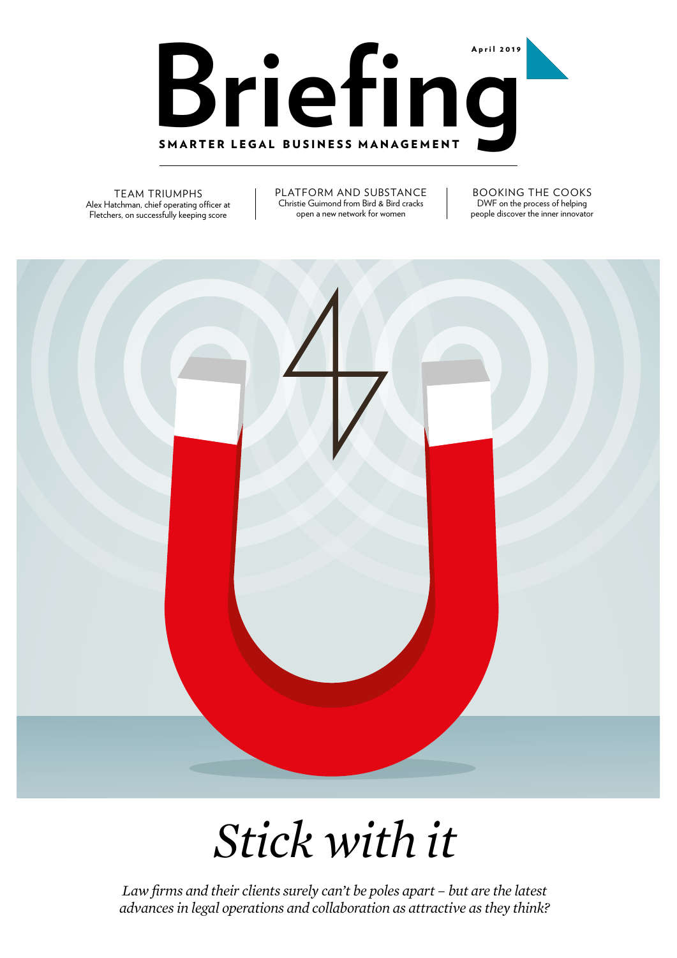

TEAM TRIUMPHS Alex Hatchman, chief operating officer at Fletchers, on successfully keeping score

PLATFORM AND SUBSTANCE Christie Guimond from Bird & Bird cracks open a new network for women

BOOKING THE COOKS DWF on the process of helping people discover the inner innovator



*Stick with it*

*Law firms and their clients surely can't be poles apart – but are the latest advances in legal operations and collaboration as attractive as they think?*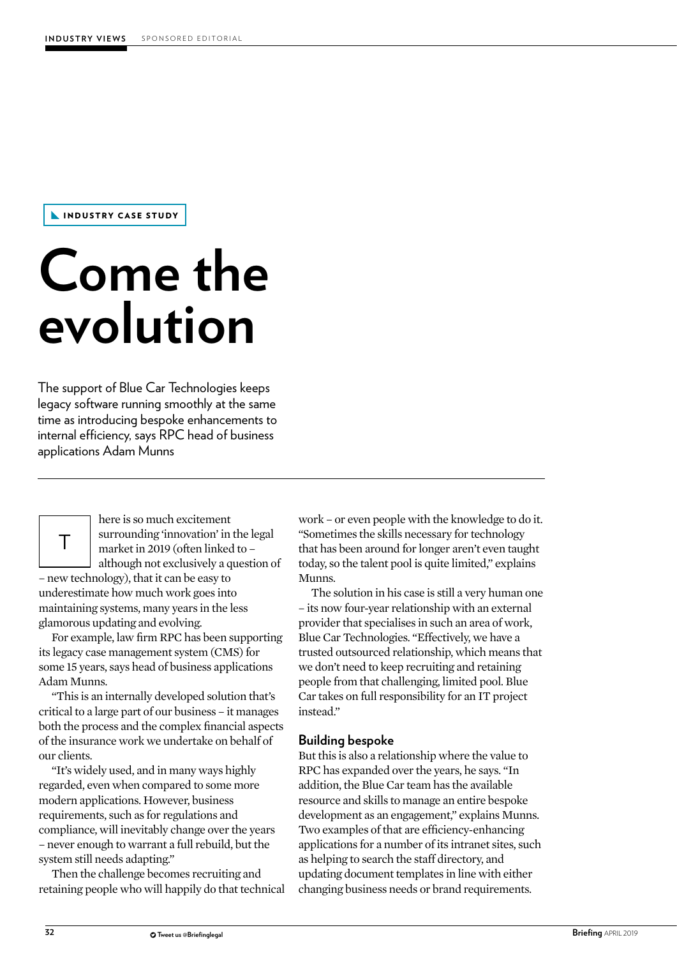INDUSTRY CASE STUDY

## **Come the evolution**

The support of Blue Car Technologies keeps legacy software running smoothly at the same time as introducing bespoke enhancements to internal efficiency, says RPC head of business applications Adam Munns



France is so much excitement<br>
surrounding 'innovation' in<br>
market in 2019 (often linked<br>
although not exclusively a q<br>
– new technology), that it can be easy to here is so much excitement surrounding 'innovation' in the legal market in 2019 (often linked to – although not exclusively a question of

underestimate how much work goes into maintaining systems, many years in the less glamorous updating and evolving.

For example, law firm RPC has been supporting its legacy case management system (CMS) for some 15 years, says head of business applications Adam Munns.

"This is an internally developed solution that's critical to a large part of our business – it manages both the process and the complex financial aspects of the insurance work we undertake on behalf of our clients.

"It's widely used, and in many ways highly regarded, even when compared to some more modern applications. However, business requirements, such as for regulations and compliance, will inevitably change over the years – never enough to warrant a full rebuild, but the system still needs adapting."

Then the challenge becomes recruiting and retaining people who will happily do that technical work – or even people with the knowledge to do it. "Sometimes the skills necessary for technology that has been around for longer aren't even taught today, so the talent pool is quite limited," explains Munns.

The solution in his case is still a very human one – its now four-year relationship with an external provider that specialises in such an area of work, Blue Car Technologies. "Effectively, we have a trusted outsourced relationship, which means that we don't need to keep recruiting and retaining people from that challenging, limited pool. Blue Car takes on full responsibility for an IT project instead."

## **Building bespoke**

But this is also a relationship where the value to RPC has expanded over the years, he says. "In addition, the Blue Car team has the available resource and skills to manage an entire bespoke development as an engagement," explains Munns. Two examples of that are efficiency-enhancing applications for a number of its intranet sites, such as helping to search the staff directory, and updating document templates in line with either changing business needs or brand requirements.